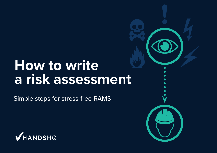# **How to write a risk assessment**

Simple steps for stress-free RAMS



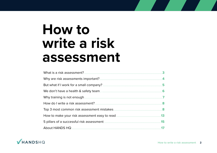# **How to** write a risk assessment

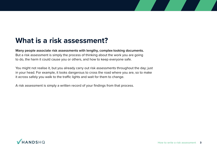## **What is a risk assessment?**

**Many people associate risk assessments with lengthy, complex-looking documents.**  But a risk assessment is simply the process of thinking about the work you are going to do, the harm it could cause you or others, and how to keep everyone safe.

You might not realise it, but you already carry out risk assessments throughout the day; just in your head. For example, it looks dangerous to cross the road where you are, so to make it across safely you walk to the traffic lights and wait for them to change.

A risk assessment is simply a written record of your findings from that process.

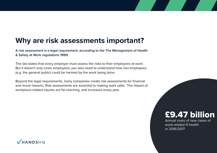### **Why are risk assessments important?**

**A risk assessment is a legal requirement, according to the The Management of Health & Safety at Work regulations 1999.**

The law states that every employer must assess the risks to their employees at work. But it doesn't only cover employees; you also need to understand how non-employees (e.g. the general public) could be harmed by the work being done.

Beyond the legal requirements, many companies create risk assessments for financial and moral reasons. Risk assessments are essential to making work safer. The impact of workplace-related injuries are far-reaching, and increases every year.

### £9.47 billion

Annual costs of new cases of work-related ill health in 2016/2017

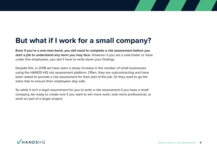### **But what if I work for a small company?**

**Even if you're a one-man-band, you still need to complete a risk assessment before you start a job to understand any harm you may face.** However if you are a sole-trader or have under five employees, you don't have to write down your findings.

Despite this, in 2018 we have seen a steep increase in the number of small businesses using the HANDS HQ risk assessment platform. Often, they are subcontracting and have been asked to provide a risk assessment for their part of the job. Or they want to go the extra mile to ensure their employees stay safe.

So while it isn't a legal requirement for you to write a risk assessment if you have a small company, be ready to create one if you want to win more work, look more professional, or work on part of a larger project.

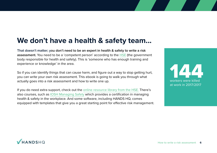### **We don't have a health & safety team...**

**That doesn't matter; you don't need to be an expert in health & safety to write a risk assessment.** You need to be a 'competent person' according to the [HSE](http://www.hse.gov.uk) (the government body responsible for health and safety). This is 'someone who has enough training and experience or knowledge' in the area.

So if you can identify things that can cause harm, and figure out a way to stop getting hurt, you can write your own risk assessment. This ebook is going to walk you through what actually goes into a risk assessment and how to write one up.

If you do need extra support, check out the [online resource library from the HSE.](http://www.hse.gov.uk/risk/resources.htm) There's also courses, such as [IOSH Managing Safely](https://www.britsafe.org/products/iosh-managing-safely/) which provides a certification in managing health & safety in the workplace. And some software, including HANDS HQ, comes equipped with templates that give you a great starting point for effective risk management.

144 workers were killed at work in 2017/2017

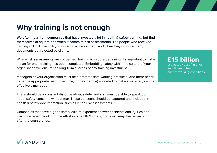### **Why training is not enough**

**We often hear from companies that have invested a lot in health & safety training, but find themselves at square one when it comes to risk assessments.** The people who received training still lack the ability to write a risk assessment; and when they do write them, documents get rejected by clients.

Where risk assessments are concerned, training is just the beginning. It's important to make a plan for once training has been completed. Embedding safety within the culture of your organisation will ensure the long-term success of any training investment.

Managers of your organisation must help promote safe working practices. And there needs to be the appropriate resourcse (time, money, people) allocated to make sure safety can be effectively managed.

There should be a constant dialogue about safety, and staff must be able to speak up about safety concerns without fear. These concerns should be captured and included in health & safety documentation, such as in the risk assessments.

Companies that have a good safety culture experience fewer accidents and injuries and win more repeat work. Put the effort into health & safety, and you'll reap the rewards long after the course ends.

£15 billion estimated cost of injuries and ill health from current working conditions

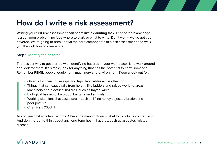### **How do I write a risk assessment?**

**Writing your first risk assessment can seem like a daunting task.** Fear of the blank page is a common problem; no idea where to start, or what to write. Don't worry, we've got you covered. We're going to break down the core components of a risk assessment and walk you through how to create one.

#### **Step 1: Identify the hazards**

The easiest way to get started with identifying hazards in your workplace...is to walk around and look for them! It's simple, look for anything that has the potential to harm someone. Remember **PEME**: people, equipment, machinery and environment. Keep a look out for:

- Objects that can cause slips and trips, like cables across the floor
- Things that can cause falls from height, like ladders and raised working areas
- Machinery and electrical hazards, such as frayed wires
- Biological hazards, like blood, bacteria and animals
- Working situations that cause strain, such as lifting heavy objects, vibration and poor posture
- Chemicals (COSHH)

Ask to see past accident records. Check the manufacturer's label for products you're using. And don't forget to think about any long-term health hazards, such as asbestos-related disease.

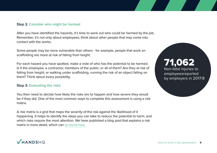#### **Step 2: Consider who might be harmed**

After you have identified the hazards, it's time to work out who could be harmed by the job. Remember, it's not only about employees; think about other people that may come into contact with the works.

Some people may be more vulnerable than others - for example, people that work on scaffolding are more at risk of falling from height.

For each hazard you have spotted, make a note of who has the potential to be harmed. Is it the employee, a contractor, members of the public; or all of them? Are they at risk of falling from height; or walking under scaffolding, running the risk of an object falling on them? Think about every possibility.

#### **Step 3: Evaluating the risks**

You then need to decide how likely the risks are to happen and how severe they would be if they did. One of the most common ways to complete this assessment is using a risk matrix.

A risk matrix is a grid that maps the severity of the risk against the likelihood of it happening. It helps to identify the steps you can take to reduce the potential to harm, and which risks require the most attention. We have published a blog post that explains a risk matrix in more detail, which can [be found here.](https://blog.handshq.com/what-is-a-risk-matrix-and-why-should-you-be-using-one/)

71,062 Non-fatal injuries to employeesreported by employers in 2017/8

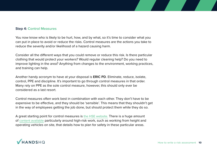#### **Step 4: Control Measures**

You now know who is likely to be hurt, how, and by what, so it's time to consider what you can put in place to avoid or reduce the risks. Control measures are the actions you take to reduce the severity and/or likelihood of a hazard causing harm.

Consider all the different ways that you could remove or reduce this risk. Is there particular clothing that would protect your workers? Would regular cleaning help? Do you need to improve lighting in the area? Anything from changes to the environment, working practices, and training can help.

Another handy acronym to have at your disposal is **ERIC PD**. Eliminate, reduce, isolate, control, PPE and discipline. It's important to go through control measures in that order. Many rely on PPE as the sole control measure, however, this should only ever be considered as a last resort.

Control measures often work best in combination with each other. They don't have to be expensive to be effective, and they should be 'sensible'. This means that they shouldn't get in the way of employees getting the job done, but should protect them while they do so.

A great starting point for control measures is [the HSE website.](http://www.hse.gov.uk/pubns/books/index-hsg-ref.htm) There is a huge amount of [content available](http://www.hse.gov.uk/pubns/books/index-hsg-ref.htm) particularly around high-risk work, such as working from height and operating vehicles on site, that details how to plan for safety in these particular areas.

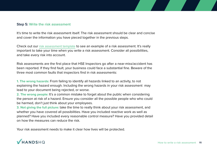#### **Step 5: Write the risk assessment**

It's time to write the risk assessment itself. The risk assessment should be clear and concise and cover the information you have pieced together in the previous steps.

Check out our [risk assessment template](https://www.handshq.com/resources/free-risk-assessment-method-statement-template/download-risk-assessment.html) to see an example of a risk assessment. It's really important to take your time when you write a risk assessment. Consider all possibilities, and take every risk into account.

Risk assessments are the first place that HSE Inspectors go after a near-miss/accident has been reported. If they find fault, your business could face a substantial fine. Beware of the three most common faults that inspectors find in risk assessments:

**1. The wrong hazards:** From failing to identify all hazards linked to an activity, to not explaining the hazard enough. Including the wrong hazards in your risk assessment may lead to your document being rejected, or worse.

**2. The wrong people:** It's a common mistake to forget about the public when considering the person at risk of a hazard. Ensure you consider all the possible people who who could be harmed, don't just think about your employees.

**3. Not giving the full picture:** take the time to really think about your risk assessment, and whether you have covered all possibilities. Have you included reactive work as well as planned? Have you included every reasonable control measure? Have you provided detail on how the measures can reduce the risk.

Your risk assessment needs to make it clear how lives will be protected.

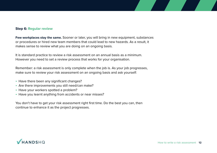#### **Step 6: Regular review**

**Few workplaces stay the same.** Sooner or later, you will bring in new equipment, substances or procedures or hired new team members that could lead to new hazards. As a result, it makes sense to review what you are doing on an ongoing basis.

It is standard practice to review a risk assessment on an annual basis as a minimum. However you need to set a review process that works for your organisation.

Remember: a risk assessment is only complete when the job is. As your job progresses, make sure to review your risk assessment on an ongoing basis and ask yourself:

- Have there been any significant changes?
- Are there improvements you still need/can make?
- Have your workers spotted a problem?
- Have you learnt anything from accidents or near misses?

You don't have to get your risk assessment right first time. Do the best you can, then continue to enhance it as the project progresses.

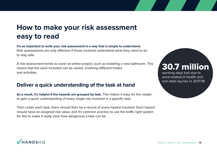## **How to make your risk assessment easy to read**

**It's as important to write your risk assessment in a way that is simple to understand.** Risk assessments are only effective if those involved understand what they need to do to stay safe.

A risk assessment tends to cover an entire project, such as installing a new bathroom. This means that the work included can be varied, involving different trades and activities.

### **Deliver a quick understanding of the task at hand**

**As a result, it's helpful if the hazards are grouped by task.** This makes it easy for the reader to gain a quick understanding of every single risk involved in a specific task.

Then under each task, there should then be a record of every hazard involved. Each hazard should have an assigned risk value; and it's common practice to use the traffic light system for this to make it really clear how dangerous a task can be.

## 30.7 million

working days lost due to work-related ill health and non-fatal injuries in 2017/18

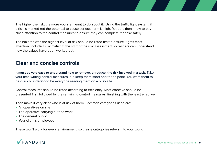The higher the risk, the more you are meant to do about it. Using the traffic light system, if a risk is marked red the potential to cause serious harm is high. Readers then know to pay close attention to the control measures to ensure they can complete the task safely.

The hazards with the highest level of risk should be listed first to ensure it gets most attention. Include a risk matrix at the start of the risk assessment so readers can understand how the values have been worked out.

### **Clear and concise controls**

**It must be very easy to understand how to remove, or reduce, the risk involved in a task.** Take your time writing control measures, but keep them short and to the point. You want them to be quickly understood be everyone reading them on a busy site.

Control measures should be listed according to efficiency. Most effective should be presented first, followed by the remaining control measures, finishing with the least effective.

Then make it very clear who is at risk of harm. Common categories used are:

- All operatives on site
- The operative carrying out the work
- The general public
- Your client's employees

These won't work for every environment, so create categories relevant to your work.

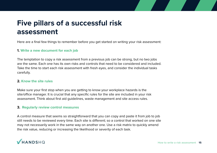### **Five pillars of a successful risk assessment**

Here are a final few things to remember before you get started on writing your risk assessment:

#### **1. Write a new document for each job**

The temptation to copy a risk assessment from a previous job can be strong, but no two jobs are the same. Each one has its own risks and controls that need to be considered and included. Take the time to start each risk assessment with fresh eyes, and consider the individual tasks carefully.

#### **2. Know the site rules**

Make sure your first stop when you are getting to know your workplace hazards is the site/office manager. It is crucial that any specific rules for the site are included in your risk assessment. Think about first aid guidelines, waste management and site access rules.

#### **3. Regularly review control measures**

A control measure that seems so straightforward that you can copy and paste it from job to job still needs to be reviewed every time. Each site is different; so a control that worked on one site may not necessarily work in the same way on another one. Use a risk matrix to quickly amend the risk value, reducing or increasing the likelihood or severity of each task.

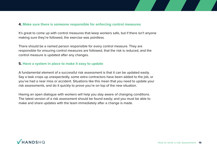#### **4. Make sure there is someone responsible for enforcing control measures**

It's great to come up with control measures that keep workers safe, but if there isn't anyone making sure they're followed, the exercise was pointless.

There should be a named person responsible for every control measure. They are responsible for ensuring control measures are followed, that the risk is reduced, and the control measure is updated after any changes.

#### **5. Have a system in place to make it easy to update**

A fundamental element of a successful risk assessment is that it can be updated easily. Say a task crops up unexpectedly, some extra contractors have been added to the job, or you've had a near miss or accident. Situations like this mean that you need to update your risk assessments, and do it quickly to prove you're on top of the new situation.

Having an open dialogue with workers will help you stay aware of changing conditions. The latest version of a risk assessment should be found easily; and you must be able to make and share updates with the team immediately after a change is made.

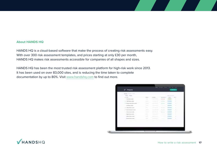#### **About HANDS HQ**

HANDS HQ is a cloud-based software that make the process of creating risk assessments easy. With over 300 risk assessment templates, and prices starting at only £30 per month, HANDS HQ makes risk assessments accessible for companies of all shapes and sizes.

HANDS HQ has been the most trusted risk assessment platform for high-risk work since 2013. It has been used on over 83,000 sites, and is reducing the time taken to complete documentation by up to 80%. Visit [www.handshq.com](https://www.handshq.com) to find out more.

| Report Follows<br>.<br>Film, Titles,           |                                                                                                                                                                                                                                                                                                                                                                                                                                                                                    |                                                                                          |                                                  | and the second con- |                                                                                                                                                                                                                                                                                                                                                                                                                                                                                                           |
|------------------------------------------------|------------------------------------------------------------------------------------------------------------------------------------------------------------------------------------------------------------------------------------------------------------------------------------------------------------------------------------------------------------------------------------------------------------------------------------------------------------------------------------|------------------------------------------------------------------------------------------|--------------------------------------------------|---------------------|-----------------------------------------------------------------------------------------------------------------------------------------------------------------------------------------------------------------------------------------------------------------------------------------------------------------------------------------------------------------------------------------------------------------------------------------------------------------------------------------------------------|
| and their                                      |                                                                                                                                                                                                                                                                                                                                                                                                                                                                                    |                                                                                          |                                                  |                     |                                                                                                                                                                                                                                                                                                                                                                                                                                                                                                           |
| 21 YEAR ROLL LIGHT                             | <b>Contract</b>                                                                                                                                                                                                                                                                                                                                                                                                                                                                    | <b>CONTRACTOR</b>                                                                        | Lind month                                       |                     |                                                                                                                                                                                                                                                                                                                                                                                                                                                                                                           |
|                                                | <b>CONTRACTOR</b>                                                                                                                                                                                                                                                                                                                                                                                                                                                                  | possible continued in the same<br>Commercial States                                      | the process of the property of                   |                     | <b>Common</b><br>$\label{eq:2.1} \begin{array}{ll} \mathcal{L}_{\mathcal{A}}(\mathcal{A})=\mathcal{L}_{\mathcal{A}}(\mathcal{A})\otimes\mathcal{L}_{\mathcal{A}}(\mathcal{A})\otimes\mathcal{L}_{\mathcal{A}}(\mathcal{A})\otimes\mathcal{L}_{\mathcal{A}}(\mathcal{A})\otimes\mathcal{L}_{\mathcal{A}}(\mathcal{A})\otimes\mathcal{L}_{\mathcal{A}}(\mathcal{A})\otimes\mathcal{L}_{\mathcal{A}}(\mathcal{A})\otimes\mathcal{L}_{\mathcal{A}}(\mathcal{A})\otimes\mathcal{L}_{\mathcal{A}}(\mathcal{A})$ |
| 2. Became Many State colored                   | come of                                                                                                                                                                                                                                                                                                                                                                                                                                                                            | proposition and the country states and control of<br><b>CONTRACTOR</b>                   | The property of                                  |                     | or fa<br>÷                                                                                                                                                                                                                                                                                                                                                                                                                                                                                                |
|                                                | a se<br>$\frac{1}{2} \left( \frac{1}{2} \right) \left( \frac{1}{2} \right) \left( \frac{1}{2} \right) \left( \frac{1}{2} \right) \left( \frac{1}{2} \right) \left( \frac{1}{2} \right) \left( \frac{1}{2} \right) \left( \frac{1}{2} \right) \left( \frac{1}{2} \right) \left( \frac{1}{2} \right) \left( \frac{1}{2} \right) \left( \frac{1}{2} \right) \left( \frac{1}{2} \right) \left( \frac{1}{2} \right) \left( \frac{1}{2} \right) \left( \frac{1}{2} \right) \left( \frac$ | Contractor and Contractor                                                                | and the company of the con-<br><b>Contractor</b> |                     | ٠                                                                                                                                                                                                                                                                                                                                                                                                                                                                                                         |
| A competition of the con-                      | comments of                                                                                                                                                                                                                                                                                                                                                                                                                                                                        | Telephone and the property of the control of<br>collection date of the season.           |                                                  |                     | $\sim$                                                                                                                                                                                                                                                                                                                                                                                                                                                                                                    |
| a katika m<br>4 - Alexander Mores Corner       | <b>STATISTICS</b><br><b>Contractor</b>                                                                                                                                                                                                                                                                                                                                                                                                                                             | parties and compensate and Mr. The Competent<br>a standard and a standard and a standard |                                                  |                     | $\sim$<br>$\sim$                                                                                                                                                                                                                                                                                                                                                                                                                                                                                          |
| to determine and contact to                    | <b>Charles</b>                                                                                                                                                                                                                                                                                                                                                                                                                                                                     | Streets and it is responsible decade the pro-<br>C. Brankwill, C. Marsey, C.             |                                                  |                     | n a<br>٠                                                                                                                                                                                                                                                                                                                                                                                                                                                                                                  |
| where you want<br>1-deal-bancodo               | <b>Manager</b><br>-                                                                                                                                                                                                                                                                                                                                                                                                                                                                | the control of the control of the con-<br><b>CONSUMING</b>                               | <b>Common</b>                                    |                     | ٠                                                                                                                                                                                                                                                                                                                                                                                                                                                                                                         |
| - department of the control                    | $\frac{1}{2} \left( \frac{1}{2} \right) \left( \frac{1}{2} \right) \left( \frac{1}{2} \right)$                                                                                                                                                                                                                                                                                                                                                                                     | of the late and the company of the same<br>and the company's the                         | <b>Tilesman</b>                                  |                     | ٦                                                                                                                                                                                                                                                                                                                                                                                                                                                                                                         |
| a component and a<br>1. Secretary from company | <b>STAR</b><br><b>START</b>                                                                                                                                                                                                                                                                                                                                                                                                                                                        | <b>SEARCH AND ARTISTS</b><br>Contractor and Contractor                                   |                                                  |                     | $\sim$                                                                                                                                                                                                                                                                                                                                                                                                                                                                                                    |
| stolle                                         |                                                                                                                                                                                                                                                                                                                                                                                                                                                                                    |                                                                                          | <b>The Company</b>                               |                     | an in                                                                                                                                                                                                                                                                                                                                                                                                                                                                                                     |